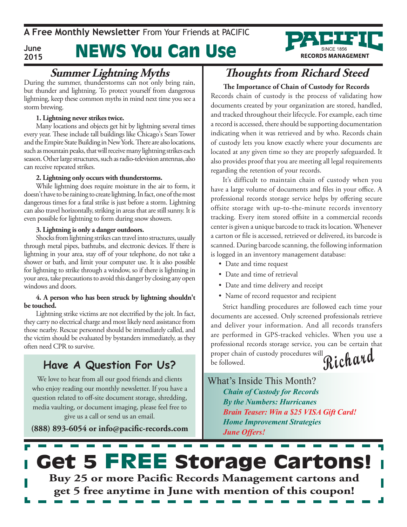#### **June 2015**

# News You Can Use

# **Summer Lightning Myths**<br>During the summer, thunderstorms can not only bring rain,

but thunder and lightning. To protect yourself from dangerous lightning, keep these common myths in mind next time you see a storm brewing.

### **1. Lightning never strikes twice.**

Many locations and objects get hit by lightning several times every year. These include tall buildings like Chicago's Sears Tower and the Empire State Building in New York. There are also locations, such as mountain peaks, that will receive many lightning strikes each season. Other large structures, such as radio-television antennas, also can receive repeated strikes.

### **2. Lightning only occurs with thunderstorms.**

While lightning does require moisture in the air to form, it doesn't have to be raining to create lightning. In fact, one of the most dangerous times for a fatal strike is just before a storm. Lightning can also travel horizontally, striking in areas that are still sunny. It is even possible for lightning to form during snow showers.

### **3. Lightning is only a danger outdoors.**

Shocks from lightning strikes can travel into structures, usually through metal pipes, bathtubs, and electronic devices. If there is lightning in your area, stay off of your telephone, do not take a shower or bath, and limit your computer use. It is also possible for lightning to strike through a window, so if there is lightning in your area, take precautions to avoid this danger by closing any open windows and doors.

#### **4. A person who has been struck by lightning shouldn't be touched.**

Lightning strike victims are not electrified by the jolt. In fact, they carry no electrical charge and most likely need assistance from those nearby. Rescue personnel should be immediately called, and the victim should be evaluated by bystanders immediately, as they often need CPR to survive.

## Have A Question For Us? be followed.

We love to hear from all our good friends and clients who enjoy reading our monthly newsletter. If you have a question related to off-site document storage, shredding, media vaulting, or document imaging, please feel free to give us a call or send us an email.

**(888) 893-6054 or info@pacific-records.com**

## **Thoughts from Richard Steed**

**RECORDS MANAGEMENT** 

## **The Importance of Chain of Custody for Records** Records chain of custody is the process of validating how documents created by your organization are stored, handled, and tracked throughout their lifecycle. For example, each time a record is accessed, there should be supporting documentation

indicating when it was retrieved and by who. Records chain of custody lets you know exactly where your documents are located at any given time so they are properly safeguarded. It also provides proof that you are meeting all legal requirements regarding the retention of your records.

It's difficult to maintain chain of custody when you have a large volume of documents and files in your office. A professional records storage service helps by offering secure offsite storage with up-to-the-minute records inventory tracking. Every item stored offsite in a commercial records center is given a unique barcode to track its location. Whenever a carton or file is accessed, retrieved or delivered, its barcode is scanned. During barcode scanning, the following information is logged in an inventory management database:

- Date and time request
- Date and time of retrieval
- • Date and time delivery and receipt
- • Name of record requestor and recipient

**Richard** Strict handling procedures are followed each time your documents are accessed. Only screened professionals retrieve and deliver your information. And all records transfers are performed in GPS-tracked vehicles. When you use a professional records storage service, you can be certain that proper chain of custody procedures will

What's Inside This Month? *Chain of Custody for Records By the Numbers: Hurricanes Brain Teaser: Win a \$25 VISA Gift Card! Home Improvement Strategies June Offers!*

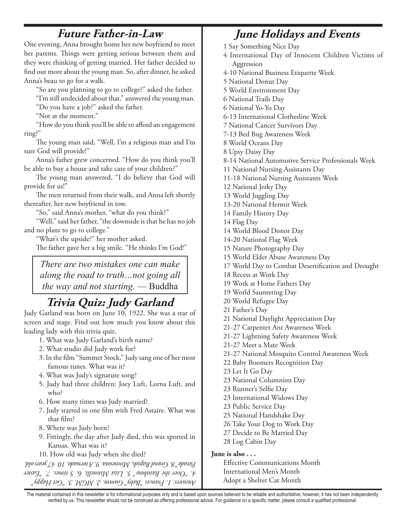## **Future Father-in-Law**

One evening, Anna brought home her new boyfriend to meet her parents. Things were getting serious between them and they were thinking of getting married. Her father decided to find out more about the young man. So, after dinner, he asked Anna's beau to go for a walk.

"So are you planning to go to college?" asked the father.

"I'm still undecided about that," answered the young man.

"Do you have a job?" asked the father.

"Not at the moment."

"How do you think you'll be able to afford an engagement ring?"

The young man said, "Well, I'm a religious man and I'm sure God will provide!"

Anna's father grew concerned. "How do you think you'll be able to buy a house and take care of your children?"

The young man answered, "I do believe that God will provide for us!"

The men returned from their walk, and Anna left shortly thereafter, her new boyfriend in tow.

"So," said Anna's mother, "what do you think?"

"Well," said her father, "the downside is that he has no job and no plans to go to college."

"What's the upside?" her mother asked.

The father gave her a big smile. "He thinks I'm God!"

*There are two mistakes one can make along the road to truth…not going all the way and not starting.* — Buddha

## **Trivia Quiz: Judy Garland**

Judy Garland was born on June 10, 1922. She was a star of screen and stage. Find out how much you know about this leading lady with this trivia quiz.

- 1. What was Judy Garland's birth name?
- 2. What studio did Judy work for?
- 3. In the film "Summer Stock," Judy sang one of her most famous tunes. What was it?
- 4. What was Judy's signature song?
- 5. Judy had three children: Joey Luft, Lorna Luft, and who?
- 6. How many times was Judy married?
- 7. Judy starred in one film with Fred Astaire. What was that film?
- 8. Where was Judy born?
- 9. Fittingly, the day after Judy died, this was spotted in Kansas. What was it?
- 10. How old was Judy when she died?

*Answers: 1. Frances "Baby" Gumm. 2. MGM. 3. "Get Happy" 4. "Over the Rainbow" 5. Liza Minnelli. 6. 5 times. 7. "Easter Parade" 8. Grand Rapids, Minnesota. 9. A tornado. 10. 47 years old.* 

## **June Holidays and Events**

1 Say Something Nice Day

- 4 International Day of Innocent Children Victims of Aggression
- 4-10 National Business Etiquette Week
- 5 National Donut Day
- 5 World Environment Day
- 6 National Trails Day
- 6 National Yo-Yo Day

6-13 International Clothesline Week

7 National Cancer Survivors Day

7-13 Bed Bug Awareness Week

8 World Oceans Day

8 Upsy Daisy Day

8-14 National Automotive Service Professionals Week

- 11 National Nursing Assistants Day
- 11-18 National Nursing Assistants Week
- 12 National Jerky Day
- 13 World Juggling Day
- 13-20 National Hermit Week
- 14 Family History Day

14 Flag Day

- 14 World Blood Donor Day
- 14-20 National Flag Week
- 15 Nature Photography Day
- 15 World Elder Abuse Awareness Day
- 17 World Day to Combat Desertification and Drought
- 18 Recess at Work Day
- 19 Work at Home Fathers Day
- 19 World Sauntering Day
- 20 World Refugee Day
- 21 Father's Day
- 21 National Daylight Appreciation Day
- 21-27 Carpenter Ant Awareness Week
- 21-27 Lightning Safety Awareness Week
- 21-27 Meet a Mate Week
- 21-27 National Mosquito Control Awareness Week
- 22 Baby Boomers Recognition Day
- 23 Let It Go Day
- 23 National Columnists Day
- 23 Runner's Selfie Day
- 23 International Widows Day
- 23 Public Service Day
- 25 National Handshake Day
- 26 Take Your Dog to Work Day
- 27 Decide to Be Married Day
- 28 Log Cabin Day

#### **June is also . . .**

Effective Communications Month International Men's Month Adopt a Shelter Cat Month

The material contained in this newsletter is for informational purposes only and is based upon sources believed to be reliable and authoritative; however, it has not been independently verified by us. This newsletter should not be construed as offering professional advice. For guidance on a specific matter, please consult a qualified professional.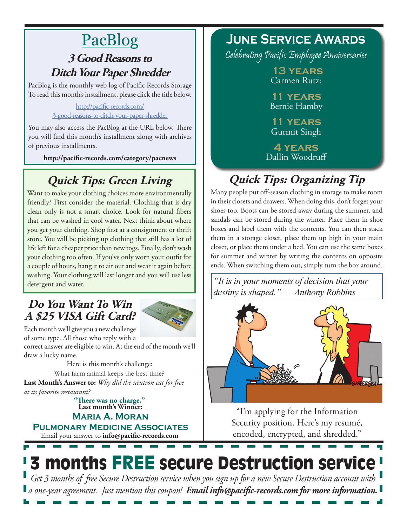# PacBlog

## **3 Good Reasons to Ditch Your Paper Shredder**

PacBlog is the monthly web log of Pacific Records Storage To read this month's installment, please click the title below.

## [http://pacific-records.com/](http://pacific-records.com/3-good-reasons-to-ditch-your-paper-shredder) [3-good-reasons-to-ditch-your-paper-shredder](http://pacific-records.com/3-good-reasons-to-ditch-your-paper-shredder)

You may also access the PacBlog at the URL below. There you will find this month's installment along with archives of previous installments.

**http://pacific-records.com/category/pacnews**

## **Quick Tips: Green Living**

Want to make your clothing choices more environmentally friendly? First consider the material. Clothing that is dry clean only is not a smart choice. Look for natural fibers that can be washed in cool water. Next think about where you get your clothing. Shop first at a consignment or thrift store. You will be picking up clothing that still has a lot of life left for a cheaper price than new togs. Finally, don't wash your clothing too often. If you've only worn your outfit for a couple of hours, hang it to air out and wear it again before washing. Your clothing will last longer and you will use less detergent and water.

## **Do You Want To Win A \$25 VISA Gift Card?**



Each month we'll give you a new challenge of some type. All those who reply with a

correct answer are eligible to win. At the end of the month we'll draw a lucky name.

Here is this month's challenge: **Last Month's Answer to:** *Why did the neutron eat for free at its favorite restaurant?* What farm animal keeps the best time?

**Last month's Winner: Maria A. Moran "There was no charge."**

Email your answer to **info@pacific-records.com Pulmonary Medicine Associates**

## **June Service Awards**

Celebrating Pacific Employee Anniversaries

 **13 years** Carmen Rutz:

**11 years** Bernie Hamby

**11 years** Gurmit Singh

**4 years** Dallin Woodruff

# **Quick Tips: Organizing Tip**

Many people put off-season clothing in storage to make room in their closets and drawers. When doing this, don't forget your shoes too. Boots can be stored away during the summer, and sandals can be stored during the winter. Place them in shoe boxes and label them with the contents. You can then stack them in a storage closet, place them up high in your main closet, or place them under a bed. You can use the same boxes for summer and winter by writing the contents on opposite ends. When switching them out, simply turn the box around.

*"It is in your moments of decision that your destiny is shaped."* — *Anthony Robbins*



"I'm applying for the Information Security position. Here's my resumé, encoded, encrypted, and shredded."

# 3 months FREE secure Destruction service

*Get 3 months of free Secure Destruction service when you sign up for a new Secure Destruction account with a one-year agreement. Just mention this coupon! Email info@pacific-records.com for more information.*